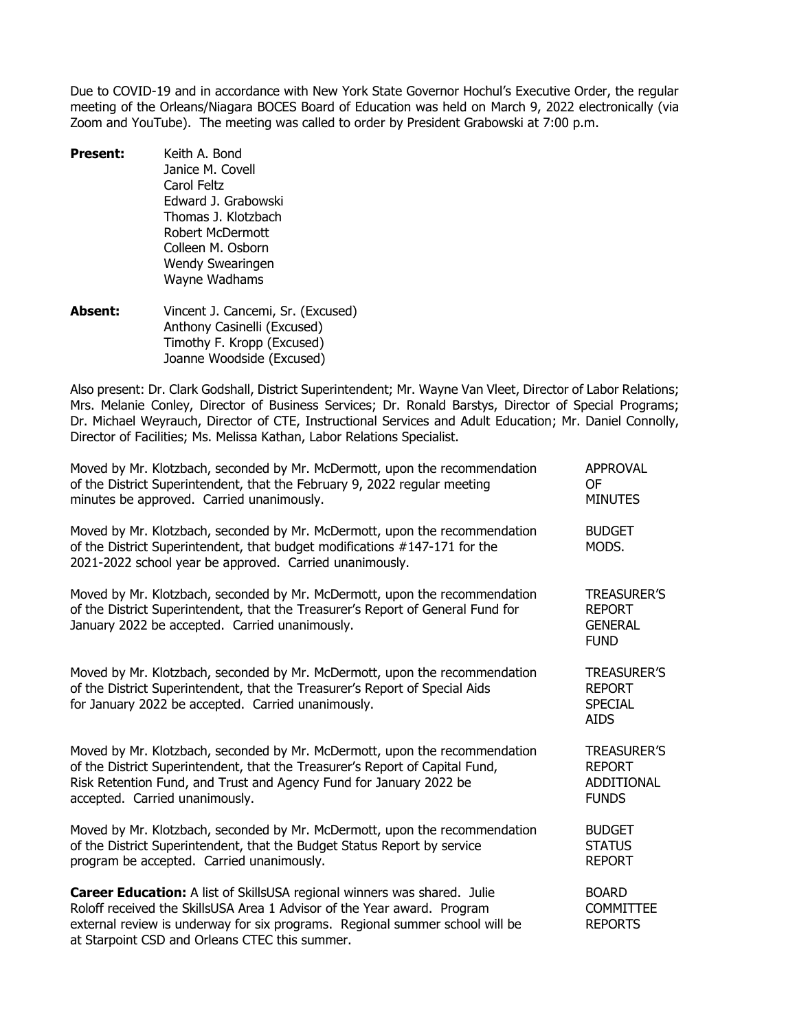Due to COVID-19 and in accordance with New York State Governor Hochul's Executive Order, the regular meeting of the Orleans/Niagara BOCES Board of Education was held on March 9, 2022 electronically (via Zoom and YouTube). The meeting was called to order by President Grabowski at 7:00 p.m.

- **Present:** Keith A. Bond Janice M. Covell Carol Feltz Edward J. Grabowski Thomas J. Klotzbach Robert McDermott Colleen M. Osborn Wendy Swearingen Wayne Wadhams
- **Absent:** Vincent J. Cancemi, Sr. (Excused) Anthony Casinelli (Excused) Timothy F. Kropp (Excused) Joanne Woodside (Excused)

Also present: Dr. Clark Godshall, District Superintendent; Mr. Wayne Van Vleet, Director of Labor Relations; Mrs. Melanie Conley, Director of Business Services; Dr. Ronald Barstys, Director of Special Programs; Dr. Michael Weyrauch, Director of CTE, Instructional Services and Adult Education; Mr. Daniel Connolly, Director of Facilities; Ms. Melissa Kathan, Labor Relations Specialist.

| Moved by Mr. Klotzbach, seconded by Mr. McDermott, upon the recommendation<br>of the District Superintendent, that the February 9, 2022 regular meeting<br>minutes be approved. Carried unanimously.                                                                                  | <b>APPROVAL</b><br><b>OF</b><br><b>MINUTES</b>                           |
|---------------------------------------------------------------------------------------------------------------------------------------------------------------------------------------------------------------------------------------------------------------------------------------|--------------------------------------------------------------------------|
| Moved by Mr. Klotzbach, seconded by Mr. McDermott, upon the recommendation<br>of the District Superintendent, that budget modifications #147-171 for the<br>2021-2022 school year be approved. Carried unanimously.                                                                   | <b>BUDGET</b><br>MODS.                                                   |
| Moved by Mr. Klotzbach, seconded by Mr. McDermott, upon the recommendation<br>of the District Superintendent, that the Treasurer's Report of General Fund for<br>January 2022 be accepted. Carried unanimously.                                                                       | <b>TREASURER'S</b><br><b>REPORT</b><br><b>GENERAL</b><br><b>FUND</b>     |
| Moved by Mr. Klotzbach, seconded by Mr. McDermott, upon the recommendation<br>of the District Superintendent, that the Treasurer's Report of Special Aids<br>for January 2022 be accepted. Carried unanimously.                                                                       | <b>TREASURER'S</b><br><b>REPORT</b><br><b>SPECIAL</b><br><b>AIDS</b>     |
| Moved by Mr. Klotzbach, seconded by Mr. McDermott, upon the recommendation<br>of the District Superintendent, that the Treasurer's Report of Capital Fund,<br>Risk Retention Fund, and Trust and Agency Fund for January 2022 be<br>accepted. Carried unanimously.                    | <b>TREASURER'S</b><br><b>REPORT</b><br><b>ADDITIONAL</b><br><b>FUNDS</b> |
| Moved by Mr. Klotzbach, seconded by Mr. McDermott, upon the recommendation<br>of the District Superintendent, that the Budget Status Report by service<br>program be accepted. Carried unanimously.                                                                                   | <b>BUDGET</b><br><b>STATUS</b><br><b>REPORT</b>                          |
| Career Education: A list of SkillsUSA regional winners was shared. Julie<br>Roloff received the SkillsUSA Area 1 Advisor of the Year award. Program<br>external review is underway for six programs. Regional summer school will be<br>at Starpoint CSD and Orleans CTEC this summer. | <b>BOARD</b><br><b>COMMITTEE</b><br><b>REPORTS</b>                       |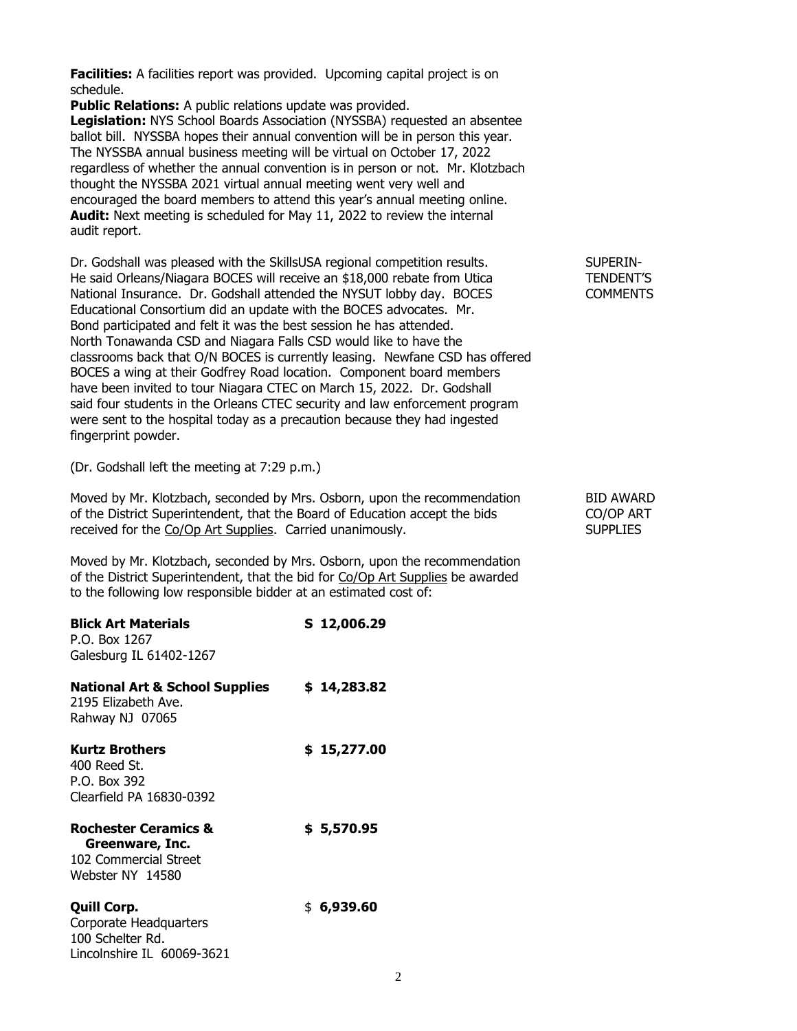**Facilities:** A facilities report was provided. Upcoming capital project is on schedule.

**Public Relations:** A public relations update was provided. **Legislation:** NYS School Boards Association (NYSSBA) requested an absentee ballot bill. NYSSBA hopes their annual convention will be in person this year. The NYSSBA annual business meeting will be virtual on October 17, 2022 regardless of whether the annual convention is in person or not. Mr. Klotzbach thought the NYSSBA 2021 virtual annual meeting went very well and encouraged the board members to attend this year's annual meeting online. **Audit:** Next meeting is scheduled for May 11, 2022 to review the internal audit report.

Dr. Godshall was pleased with the SkillsUSA regional competition results. SUPERIN-He said Orleans/Niagara BOCES will receive an \$18,000 rebate from Utica TENDENT'S National Insurance. Dr. Godshall attended the NYSUT lobby day. BOCES COMMENTS Educational Consortium did an update with the BOCES advocates. Mr. Bond participated and felt it was the best session he has attended. North Tonawanda CSD and Niagara Falls CSD would like to have the classrooms back that O/N BOCES is currently leasing. Newfane CSD has offered BOCES a wing at their Godfrey Road location. Component board members have been invited to tour Niagara CTEC on March 15, 2022. Dr. Godshall said four students in the Orleans CTEC security and law enforcement program were sent to the hospital today as a precaution because they had ingested fingerprint powder.

(Dr. Godshall left the meeting at 7:29 p.m.)

Moved by Mr. Klotzbach, seconded by Mrs. Osborn, upon the recommendation BID AWARD of the District Superintendent, that the Board of Education accept the bids CO/OP ART received for the Co/Op Art Supplies. Carried unanimously. The SUPPLIES SUPPLIES

Moved by Mr. Klotzbach, seconded by Mrs. Osborn, upon the recommendation of the District Superintendent, that the bid for Co/Op Art Supplies be awarded to the following low responsible bidder at an estimated cost of:

| <b>Blick Art Materials</b><br>P.O. Box 1267<br>Galesburg IL 61402-1267                          | S 12,006.29 |
|-------------------------------------------------------------------------------------------------|-------------|
| National Art & School Supplies<br>2195 Elizabeth Ave.<br>Rahway NJ 07065                        | \$14,283.82 |
| Kurtz Brothers<br>400 Reed St.<br>P.O. Box 392<br>Clearfield PA 16830-0392                      | \$15,277.00 |
| <b>Rochester Ceramics &amp;</b><br>Greenware, Inc.<br>102 Commercial Street<br>Webster NY 14580 | \$5,570.95  |
| <b>Quill Corp.</b><br>Corporate Headquarters<br>100 Schelter Rd.<br>Lincolnshire IL 60069-3621  | \$ 6,939.60 |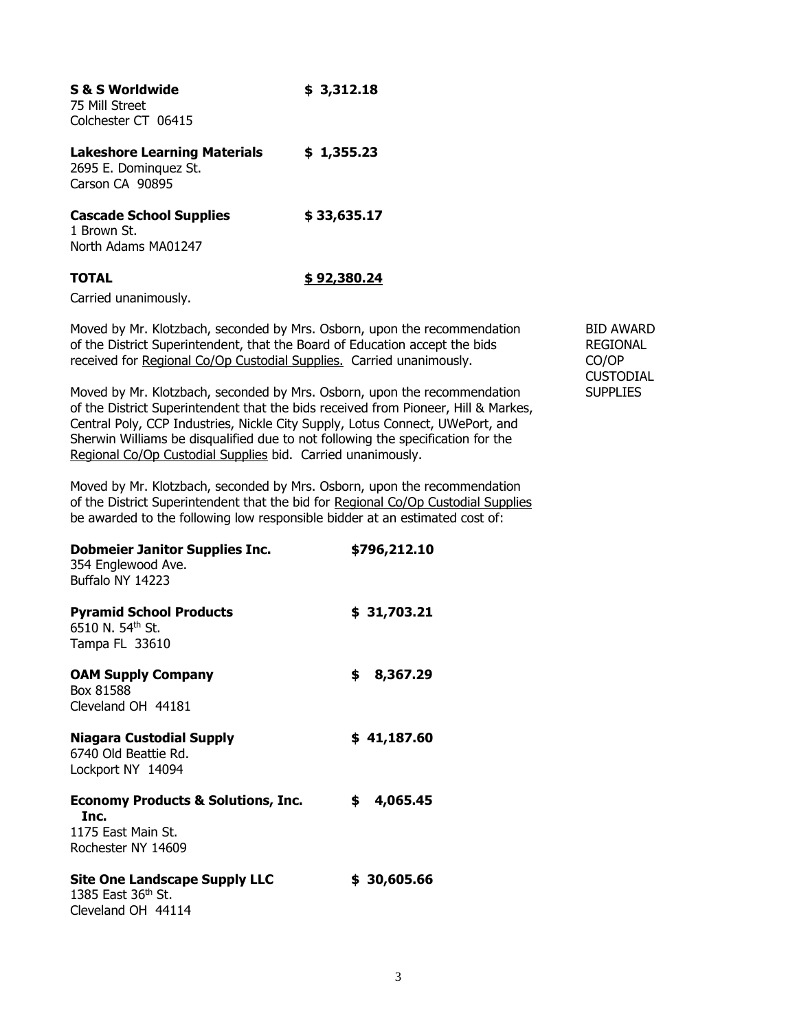| <b>S &amp; S Worldwide</b><br>75 Mill Street<br>Colchester CT 06415             | \$3,312.18   |
|---------------------------------------------------------------------------------|--------------|
| <b>Lakeshore Learning Materials</b><br>2695 E. Dominguez St.<br>Carson CA 90895 | \$1,355.23   |
| <b>Cascade School Supplies</b><br>1 Brown St.<br>North Adams MA01247            | \$33,635.17  |
| <b>TOTAL</b>                                                                    | \$ 92,380.24 |

Carried unanimously.

Moved by Mr. Klotzbach, seconded by Mrs. Osborn, upon the recommendation BID AWARD of the District Superintendent, that the Board of Education accept the bids REGIONAL received for Regional Co/Op Custodial Supplies. Carried unanimously. CO/OP

Moved by Mr. Klotzbach, seconded by Mrs. Osborn, upon the recommendation SUPPLIES of the District Superintendent that the bids received from Pioneer, Hill & Markes, Central Poly, CCP Industries, Nickle City Supply, Lotus Connect, UWePort, and Sherwin Williams be disqualified due to not following the specification for the Regional Co/Op Custodial Supplies bid. Carried unanimously.

Moved by Mr. Klotzbach, seconded by Mrs. Osborn, upon the recommendation of the District Superintendent that the bid for Regional Co/Op Custodial Supplies be awarded to the following low responsible bidder at an estimated cost of:

| <b>Dobmeier Janitor Supplies Inc.</b><br>354 Englewood Ave.<br>Buffalo NY 14223                   | \$796,212.10    |
|---------------------------------------------------------------------------------------------------|-----------------|
| <b>Pyramid School Products</b><br>6510 N. 54th St.<br>Tampa FL 33610                              | \$31,703.21     |
| <b>OAM Supply Company</b><br>Box 81588<br>Cleveland OH 44181                                      | 8,367.29<br>\$. |
| Niagara Custodial Supply<br>6740 Old Beattie Rd.<br>Lockport NY 14094                             | \$41,187.60     |
| <b>Economy Products &amp; Solutions, Inc.</b><br>Inc.<br>1175 East Main St.<br>Rochester NY 14609 | \$.<br>4,065.45 |
| <b>Site One Landscape Supply LLC</b><br>1385 East 36th St.<br>Cleveland OH 44114                  | \$30,605.66     |

**CUSTODIAL**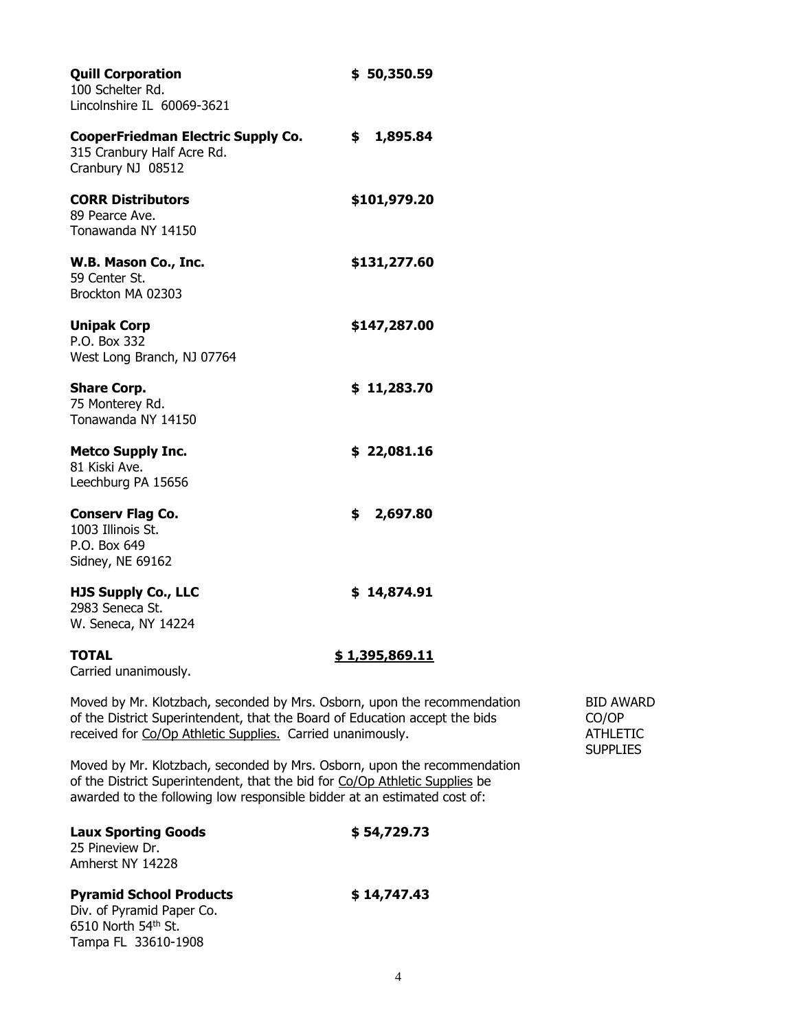| <b>Quill Corporation</b><br>100 Schelter Rd.<br>Lincolnshire IL 60069-3621                                                                                                                                                          | \$50,350.59    |                                                  |
|-------------------------------------------------------------------------------------------------------------------------------------------------------------------------------------------------------------------------------------|----------------|--------------------------------------------------|
| <b>CooperFriedman Electric Supply Co.</b><br>315 Cranbury Half Acre Rd.<br>Cranbury NJ 08512                                                                                                                                        | \$1,895.84     |                                                  |
| <b>CORR Distributors</b><br>89 Pearce Ave.<br>Tonawanda NY 14150                                                                                                                                                                    | \$101,979.20   |                                                  |
| W.B. Mason Co., Inc.<br>59 Center St.<br>Brockton MA 02303                                                                                                                                                                          | \$131,277.60   |                                                  |
| <b>Unipak Corp</b><br>P.O. Box 332<br>West Long Branch, NJ 07764                                                                                                                                                                    | \$147,287.00   |                                                  |
| <b>Share Corp.</b><br>75 Monterey Rd.<br>Tonawanda NY 14150                                                                                                                                                                         | \$11,283.70    |                                                  |
| <b>Metco Supply Inc.</b><br>81 Kiski Ave.<br>Leechburg PA 15656                                                                                                                                                                     | \$22,081.16    |                                                  |
| <b>Conserv Flag Co.</b><br>1003 Illinois St.<br>P.O. Box 649<br>Sidney, NE 69162                                                                                                                                                    | 2,697.80<br>S. |                                                  |
| <b>HJS Supply Co., LLC</b><br>2983 Seneca St.<br>W. Seneca, NY 14224                                                                                                                                                                | \$14,874.91    |                                                  |
| <b>TOTAL</b><br>Carried unanimously.                                                                                                                                                                                                | \$1,395,869.11 |                                                  |
| Moved by Mr. Klotzbach, seconded by Mrs. Osborn, upon the recommendation<br>of the District Superintendent, that the Board of Education accept the bids<br>received for Co/Op Athletic Supplies. Carried unanimously.               |                | <b>BID AV</b><br>CO/OP<br><b>ATHLE</b><br>SUPPL: |
| Moved by Mr. Klotzbach, seconded by Mrs. Osborn, upon the recommendation<br>of the District Superintendent, that the bid for Co/Op Athletic Supplies be<br>awarded to the following low responsible bidder at an estimated cost of: |                |                                                  |
| <b>Laux Sporting Goods</b><br>25 Pineview Dr.<br>Amherst NY 14228                                                                                                                                                                   | \$54,729.73    |                                                  |
| <b>Pyramid School Products</b><br>Div. of Pyramid Paper Co.<br>6510 North 54th St.<br>Tampa FL 33610-1908                                                                                                                           | \$14,747.43    |                                                  |

BID AWARD<br>CO/OP

received for Co/Op Athletic Supplies.Carried unanimously. ATHLETIC SUPPLIES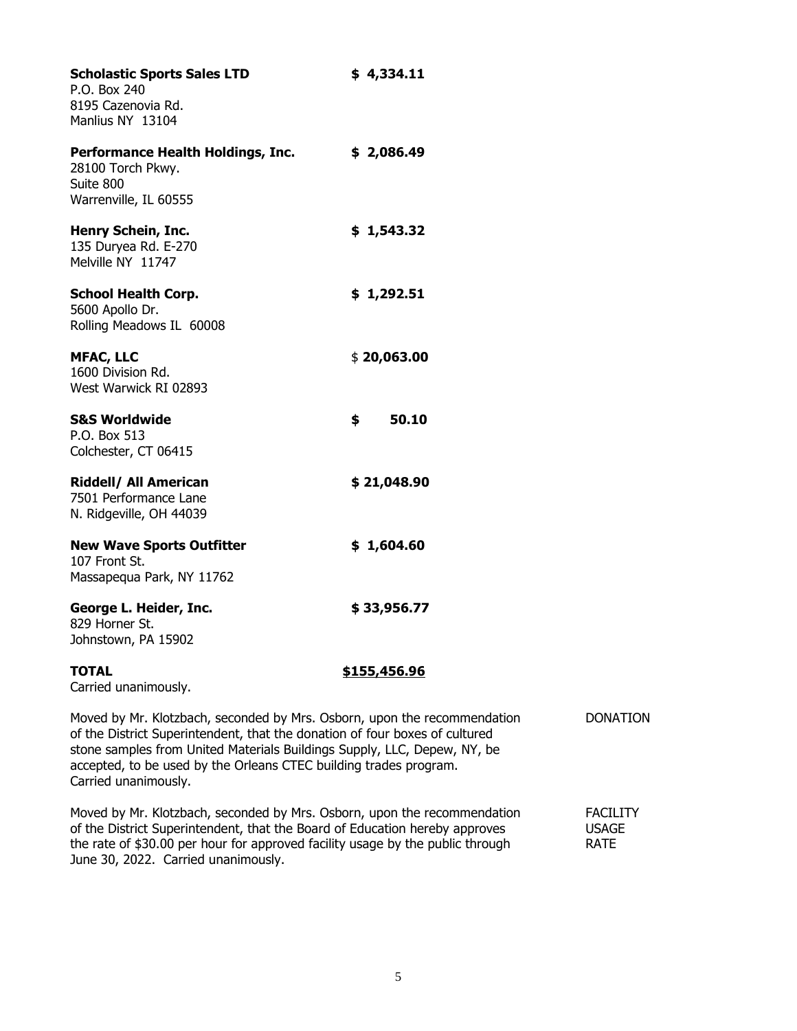| <b>Scholastic Sports Sales LTD</b><br>P.O. Box 240<br>8195 Cazenovia Rd.<br>Manlius NY 13104                                                                                                                                                                                                             | \$4,334.11          |                 |
|----------------------------------------------------------------------------------------------------------------------------------------------------------------------------------------------------------------------------------------------------------------------------------------------------------|---------------------|-----------------|
| Performance Health Holdings, Inc.<br>28100 Torch Pkwy.<br>Suite 800<br>Warrenville, IL 60555                                                                                                                                                                                                             | \$2,086.49          |                 |
| Henry Schein, Inc.<br>135 Duryea Rd. E-270<br>Melville NY 11747                                                                                                                                                                                                                                          | \$1,543.32          |                 |
| <b>School Health Corp.</b><br>5600 Apollo Dr.<br>Rolling Meadows IL 60008                                                                                                                                                                                                                                | \$1,292.51          |                 |
| <b>MFAC, LLC</b><br>1600 Division Rd.<br>West Warwick RI 02893                                                                                                                                                                                                                                           | \$20,063.00         |                 |
| <b>S&amp;S Worldwide</b><br>P.O. Box 513<br>Colchester, CT 06415                                                                                                                                                                                                                                         | \$<br>50.10         |                 |
| <b>Riddell/ All American</b><br>7501 Performance Lane<br>N. Ridgeville, OH 44039                                                                                                                                                                                                                         | \$21,048.90         |                 |
| <b>New Wave Sports Outfitter</b><br>107 Front St.<br>Massapequa Park, NY 11762                                                                                                                                                                                                                           | \$1,604.60          |                 |
| George L. Heider, Inc.<br>829 Horner St.<br>Johnstown, PA 15902                                                                                                                                                                                                                                          | \$33,956.77         |                 |
| <b>TOTAL</b><br>Carried unanimously.                                                                                                                                                                                                                                                                     | <u>\$155,456.96</u> |                 |
| Moved by Mr. Klotzbach, seconded by Mrs. Osborn, upon the recommendation<br>of the District Superintendent, that the donation of four boxes of cultured<br>stone samples from United Materials Buildings Supply, LLC, Depew, NY, be<br>accepted, to be used by the Orleans CTEC building trades program. |                     | <b>DONATION</b> |

Carried unanimously.

Moved by Mr. Klotzbach, seconded by Mrs. Osborn, upon the recommendation FACILITY<br>of the District Superintendent, that the Board of Education hereby approves USAGE of the District Superintendent, that the Board of Education hereby approves the rate of  $$30.00$  per hour for approved facility usage by the public through RATE June 30, 2022. Carried unanimously.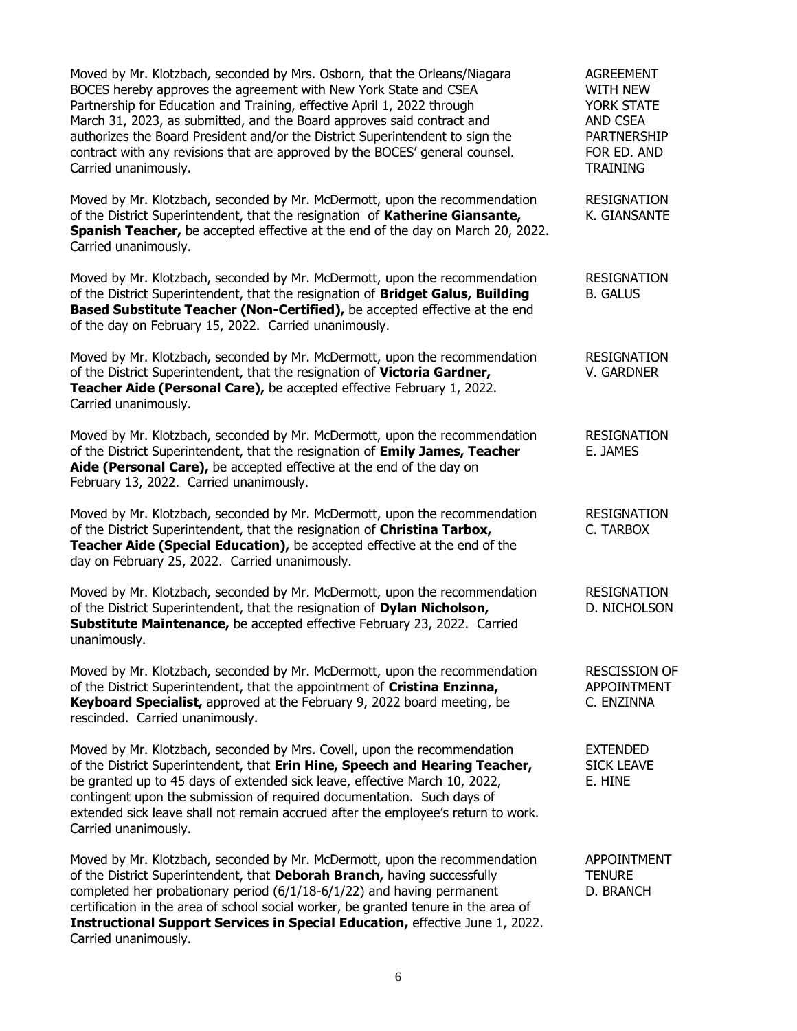| Moved by Mr. Klotzbach, seconded by Mrs. Osborn, that the Orleans/Niagara<br>BOCES hereby approves the agreement with New York State and CSEA<br>Partnership for Education and Training, effective April 1, 2022 through<br>March 31, 2023, as submitted, and the Board approves said contract and<br>authorizes the Board President and/or the District Superintendent to sign the<br>contract with any revisions that are approved by the BOCES' general counsel.<br>Carried unanimously. | <b>AGREEMENT</b><br><b>WITH NEW</b><br>YORK STATE<br><b>AND CSEA</b><br><b>PARTNERSHIP</b><br>FOR ED. AND<br><b>TRAINING</b> |
|---------------------------------------------------------------------------------------------------------------------------------------------------------------------------------------------------------------------------------------------------------------------------------------------------------------------------------------------------------------------------------------------------------------------------------------------------------------------------------------------|------------------------------------------------------------------------------------------------------------------------------|
| Moved by Mr. Klotzbach, seconded by Mr. McDermott, upon the recommendation<br>of the District Superintendent, that the resignation of Katherine Giansante,<br>Spanish Teacher, be accepted effective at the end of the day on March 20, 2022.<br>Carried unanimously.                                                                                                                                                                                                                       | <b>RESIGNATION</b><br>K. GIANSANTE                                                                                           |
| Moved by Mr. Klotzbach, seconded by Mr. McDermott, upon the recommendation<br>of the District Superintendent, that the resignation of Bridget Galus, Building<br>Based Substitute Teacher (Non-Certified), be accepted effective at the end<br>of the day on February 15, 2022. Carried unanimously.                                                                                                                                                                                        | <b>RESIGNATION</b><br><b>B. GALUS</b>                                                                                        |
| Moved by Mr. Klotzbach, seconded by Mr. McDermott, upon the recommendation<br>of the District Superintendent, that the resignation of Victoria Gardner,<br>Teacher Aide (Personal Care), be accepted effective February 1, 2022.<br>Carried unanimously.                                                                                                                                                                                                                                    | <b>RESIGNATION</b><br>V. GARDNER                                                                                             |
| Moved by Mr. Klotzbach, seconded by Mr. McDermott, upon the recommendation<br>of the District Superintendent, that the resignation of Emily James, Teacher<br>Aide (Personal Care), be accepted effective at the end of the day on<br>February 13, 2022. Carried unanimously.                                                                                                                                                                                                               | <b>RESIGNATION</b><br>E. JAMES                                                                                               |
| Moved by Mr. Klotzbach, seconded by Mr. McDermott, upon the recommendation<br>of the District Superintendent, that the resignation of Christina Tarbox,<br>Teacher Aide (Special Education), be accepted effective at the end of the<br>day on February 25, 2022. Carried unanimously.                                                                                                                                                                                                      | <b>RESIGNATION</b><br>C. TARBOX                                                                                              |
| Moved by Mr. Klotzbach, seconded by Mr. McDermott, upon the recommendation<br>of the District Superintendent, that the resignation of Dylan Nicholson,<br>Substitute Maintenance, be accepted effective February 23, 2022. Carried<br>unanimously.                                                                                                                                                                                                                                          | <b>RESIGNATION</b><br>D. NICHOLSON                                                                                           |
| Moved by Mr. Klotzbach, seconded by Mr. McDermott, upon the recommendation<br>of the District Superintendent, that the appointment of Cristina Enzinna,<br>Keyboard Specialist, approved at the February 9, 2022 board meeting, be<br>rescinded. Carried unanimously.                                                                                                                                                                                                                       | <b>RESCISSION OF</b><br><b>APPOINTMENT</b><br>C. ENZINNA                                                                     |
| Moved by Mr. Klotzbach, seconded by Mrs. Covell, upon the recommendation<br>of the District Superintendent, that Erin Hine, Speech and Hearing Teacher,<br>be granted up to 45 days of extended sick leave, effective March 10, 2022,<br>contingent upon the submission of required documentation. Such days of<br>extended sick leave shall not remain accrued after the employee's return to work.<br>Carried unanimously.                                                                | <b>EXTENDED</b><br><b>SICK LEAVE</b><br>E. HINE                                                                              |
| Moved by Mr. Klotzbach, seconded by Mr. McDermott, upon the recommendation<br>of the District Superintendent, that Deborah Branch, having successfully<br>completed her probationary period (6/1/18-6/1/22) and having permanent<br>certification in the area of school social worker, be granted tenure in the area of<br>Instructional Support Services in Special Education, effective June 1, 2022.<br>Carried unanimously.                                                             | <b>APPOINTMENT</b><br><b>TENURE</b><br>D. BRANCH                                                                             |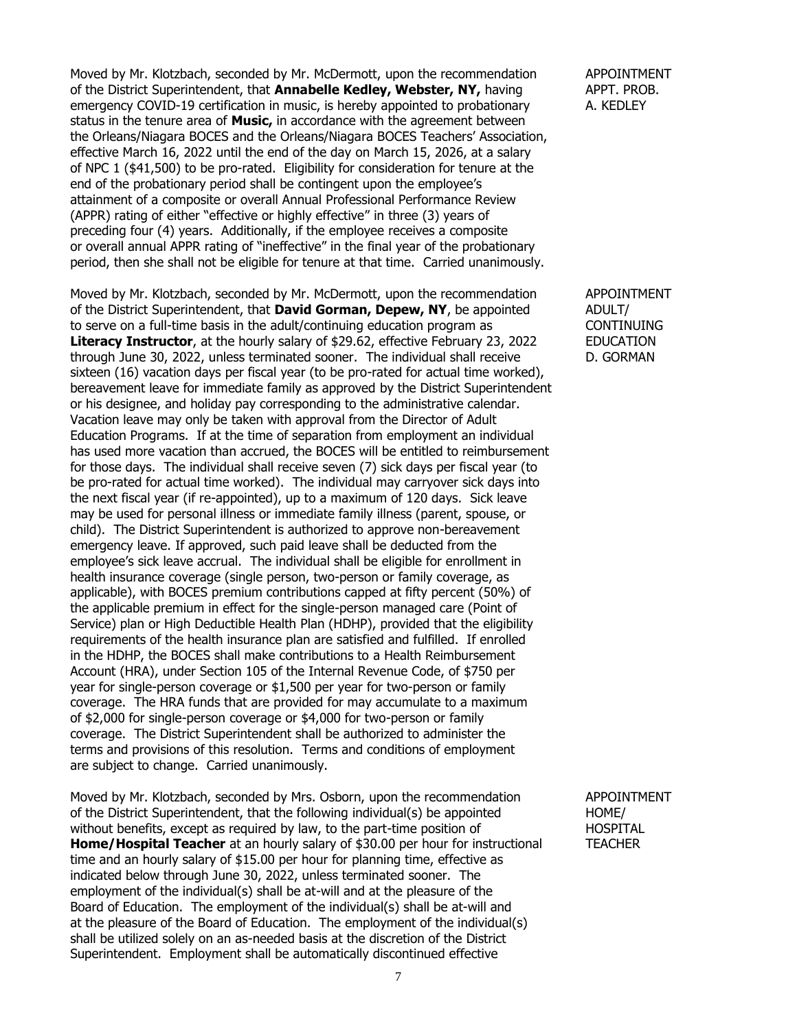Moved by Mr. Klotzbach, seconded by Mr. McDermott, upon the recommendation APPOINTMENT of the District Superintendent, that **Annabelle Kedley, Webster, NY**, having APPT. PROB. emergency COVID-19 certification in music, is hereby appointed to probationary A. KEDLEY status in the tenure area of **Music,** in accordance with the agreement between the Orleans/Niagara BOCES and the Orleans/Niagara BOCES Teachers' Association, effective March 16, 2022 until the end of the day on March 15, 2026, at a salary of NPC 1 (\$41,500) to be pro-rated. Eligibility for consideration for tenure at the end of the probationary period shall be contingent upon the employee's attainment of a composite or overall Annual Professional Performance Review (APPR) rating of either "effective or highly effective" in three (3) years of preceding four (4) years. Additionally, if the employee receives a composite or overall annual APPR rating of "ineffective" in the final year of the probationary period, then she shall not be eligible for tenure at that time. Carried unanimously.

Moved by Mr. Klotzbach, seconded by Mr. McDermott, upon the recommendation APPOINTMENT of the District Superintendent, that **David Gorman, Depew, NY**, be appointed ADULT/ to serve on a full-time basis in the adult/continuing education program as CONTINUING **Literacy Instructor**, at the hourly salary of \$29.62, effective February 23, 2022 EDUCATION through June 30, 2022, unless terminated sooner. The individual shall receive D. GORMAN sixteen (16) vacation days per fiscal year (to be pro-rated for actual time worked), bereavement leave for immediate family as approved by the District Superintendent or his designee, and holiday pay corresponding to the administrative calendar. Vacation leave may only be taken with approval from the Director of Adult Education Programs. If at the time of separation from employment an individual has used more vacation than accrued, the BOCES will be entitled to reimbursement for those days. The individual shall receive seven (7) sick days per fiscal year (to be pro-rated for actual time worked). The individual may carryover sick days into the next fiscal year (if re-appointed), up to a maximum of 120 days. Sick leave may be used for personal illness or immediate family illness (parent, spouse, or child). The District Superintendent is authorized to approve non-bereavement emergency leave. If approved, such paid leave shall be deducted from the employee's sick leave accrual. The individual shall be eligible for enrollment in health insurance coverage (single person, two-person or family coverage, as applicable), with BOCES premium contributions capped at fifty percent (50%) of the applicable premium in effect for the single-person managed care (Point of Service) plan or High Deductible Health Plan (HDHP), provided that the eligibility requirements of the health insurance plan are satisfied and fulfilled. If enrolled in the HDHP, the BOCES shall make contributions to a Health Reimbursement Account (HRA), under Section 105 of the Internal Revenue Code, of \$750 per year for single-person coverage or \$1,500 per year for two-person or family coverage. The HRA funds that are provided for may accumulate to a maximum of \$2,000 for single-person coverage or \$4,000 for two-person or family coverage. The District Superintendent shall be authorized to administer the terms and provisions of this resolution. Terms and conditions of employment are subject to change. Carried unanimously.

Moved by Mr. Klotzbach, seconded by Mrs. Osborn, upon the recommendation APPOINTMENT of the District Superintendent, that the following individual(s) be appointed HOME/ without benefits, except as required by law, to the part-time position of **HOSPITAL Home/Hospital Teacher** at an hourly salary of \$30.00 per hour for instructional TEACHER time and an hourly salary of \$15.00 per hour for planning time, effective as indicated below through June 30, 2022, unless terminated sooner. The employment of the individual(s) shall be at-will and at the pleasure of the Board of Education. The employment of the individual(s) shall be at-will and at the pleasure of the Board of Education. The employment of the individual(s) shall be utilized solely on an as-needed basis at the discretion of the District Superintendent. Employment shall be automatically discontinued effective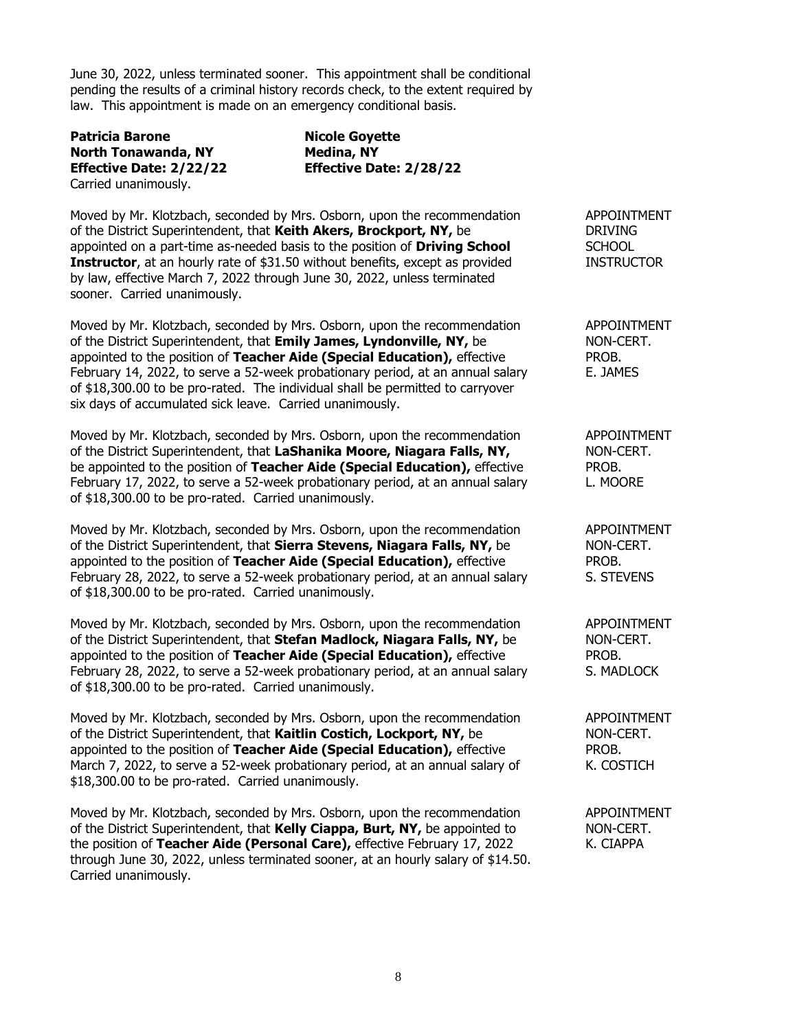June 30, 2022, unless terminated sooner. This appointment shall be conditional pending the results of a criminal history records check, to the extent required by law. This appointment is made on an emergency conditional basis.

**Patricia Barone Nicole Goyette North Tonawanda, NY Medina, NY** Carried unanimously.

**Effective Date: 2/22/22 Effective Date: 2/28/22**

Moved by Mr. Klotzbach, seconded by Mrs. Osborn, upon the recommendation APPOINTMENT of the District Superintendent, that **Keith Akers, Brockport, NY,** be DRIVING appointed on a part-time as-needed basis to the position of **Driving School** SCHOOL **Instructor**, at an hourly rate of \$31.50 without benefits, except as provided INSTRUCTOR by law, effective March 7, 2022 through June 30, 2022, unless terminated sooner. Carried unanimously.

Moved by Mr. Klotzbach, seconded by Mrs. Osborn, upon the recommendation APPOINTMENT of the District Superintendent, that **Emily James, Lyndonville, NY,** be NON-CERT. appointed to the position of **Teacher Aide (Special Education),** effective PROB. February 14, 2022, to serve a 52-week probationary period, at an annual salary E. JAMES of \$18,300.00 to be pro-rated. The individual shall be permitted to carryover six days of accumulated sick leave. Carried unanimously.

Moved by Mr. Klotzbach, seconded by Mrs. Osborn, upon the recommendation APPOINTMENT of the District Superintendent, that **LaShanika Moore, Niagara Falls, NY,** NON-CERT. be appointed to the position of **Teacher Aide (Special Education),** effective PROB. February 17, 2022, to serve a 52-week probationary period, at an annual salary L. MOORE of \$18,300.00 to be pro-rated. Carried unanimously.

Moved by Mr. Klotzbach, seconded by Mrs. Osborn, upon the recommendation APPOINTMENT of the District Superintendent, that **Sierra Stevens, Niagara Falls, NY,** be NON-CERT. appointed to the position of **Teacher Aide (Special Education),** effective PROB. February 28, 2022, to serve a 52-week probationary period, at an annual salary S. STEVENS of \$18,300.00 to be pro-rated. Carried unanimously.

Moved by Mr. Klotzbach, seconded by Mrs. Osborn, upon the recommendation APPOINTMENT of the District Superintendent, that **Stefan Madlock, Niagara Falls, NY,** be NON-CERT. appointed to the position of **Teacher Aide (Special Education),** effective PROB. February 28, 2022, to serve a 52-week probationary period, at an annual salary S. MADLOCK of \$18,300.00 to be pro-rated. Carried unanimously.

Moved by Mr. Klotzbach, seconded by Mrs. Osborn, upon the recommendation APPOINTMENT of the District Superintendent, that **Kaitlin Costich, Lockport, NY,** be NON-CERT. appointed to the position of **Teacher Aide (Special Education),** effective PROB. March 7, 2022, to serve a 52-week probationary period, at an annual salary of  $\overline{K}$ . COSTICH \$18,300.00 to be pro-rated. Carried unanimously.

Moved by Mr. Klotzbach, seconded by Mrs. Osborn, upon the recommendation APPOINTMENT of the District Superintendent, that **Kelly Ciappa, Burt, NY,** be appointed to NON-CERT. the position of **Teacher Aide (Personal Care),** effective February 17, 2022 K. CIAPPA through June 30, 2022, unless terminated sooner, at an hourly salary of \$14.50. Carried unanimously.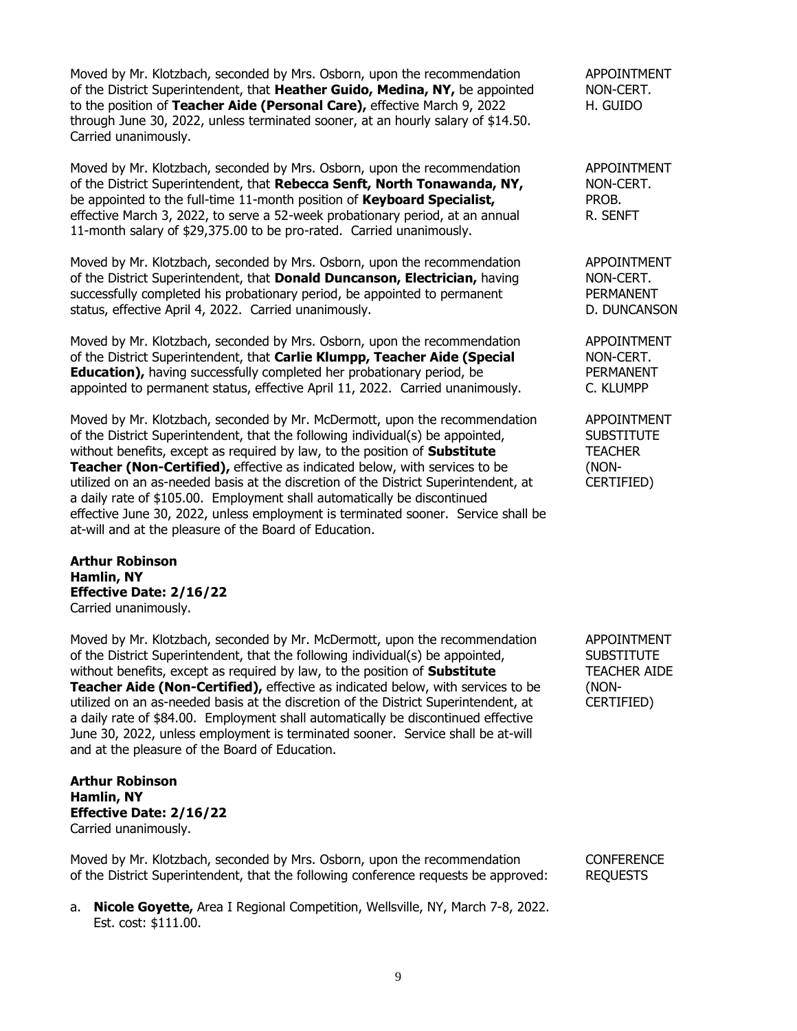Moved by Mr. Klotzbach, seconded by Mrs. Osborn, upon the recommendation APPOINTMENT of the District Superintendent, that **Heather Guido, Medina, NY,** be appointed NON-CERT. to the position of **Teacher Aide (Personal Care),** effective March 9, 2022 H. GUIDO through June 30, 2022, unless terminated sooner, at an hourly salary of \$14.50. Carried unanimously.

Moved by Mr. Klotzbach, seconded by Mrs. Osborn, upon the recommendation APPOINTMENT of the District Superintendent, that **Rebecca Senft, North Tonawanda, NY,** NON-CERT. be appointed to the full-time 11-month position of **Keyboard Specialist,** PROB. effective March 3, 2022, to serve a 52-week probationary period, at an annual R. SENFT 11-month salary of \$29,375.00 to be pro-rated. Carried unanimously.

Moved by Mr. Klotzbach, seconded by Mrs. Osborn, upon the recommendation APPOINTMENT of the District Superintendent, that **Donald Duncanson, Electrician,** having NON-CERT. successfully completed his probationary period, be appointed to permanent PERMANENT status, effective April 4, 2022. Carried unanimously. D. D. DUNCANSON

Moved by Mr. Klotzbach, seconded by Mrs. Osborn, upon the recommendation APPOINTMENT of the District Superintendent, that **Carlie Klumpp, Teacher Aide (Special** NON-CERT. **Education),** having successfully completed her probationary period, be PERMANENT appointed to permanent status, effective April 11, 2022. Carried unanimously. C. KLUMPP

Moved by Mr. Klotzbach, seconded by Mr. McDermott, upon the recommendation APPOINTMENT of the District Superintendent, that the following individual(s) be appointed, SUBSTITUTE without benefits, except as required by law, to the position of **Substitute** TEACHER **Teacher (Non-Certified),** effective as indicated below, with services to be (NONutilized on an as-needed basis at the discretion of the District Superintendent, at CERTIFIED) a daily rate of \$105.00. Employment shall automatically be discontinued effective June 30, 2022, unless employment is terminated sooner. Service shall be at-will and at the pleasure of the Board of Education.

**Arthur Robinson Hamlin, NY Effective Date: 2/16/22** Carried unanimously.

Moved by Mr. Klotzbach, seconded by Mr. McDermott, upon the recommendation APPOINTMENT of the District Superintendent, that the following individual(s) be appointed, SUBSTITUTE without benefits, except as required by law, to the position of **Substitute** TEACHER AIDE **Teacher Aide (Non-Certified),** effective as indicated below, with services to be (NONutilized on an as-needed basis at the discretion of the District Superintendent, at CERTIFIED) a daily rate of \$84.00. Employment shall automatically be discontinued effective June 30, 2022, unless employment is terminated sooner. Service shall be at-will and at the pleasure of the Board of Education.

## **Arthur Robinson Hamlin, NY Effective Date: 2/16/22** Carried unanimously.

Moved by Mr. Klotzbach, seconded by Mrs. Osborn, upon the recommendation CONFERENCE of the District Superintendent, that the following conference requests be approved: REQUESTS

a. **Nicole Goyette,** Area I Regional Competition, Wellsville, NY, March 7-8, 2022. Est. cost: \$111.00.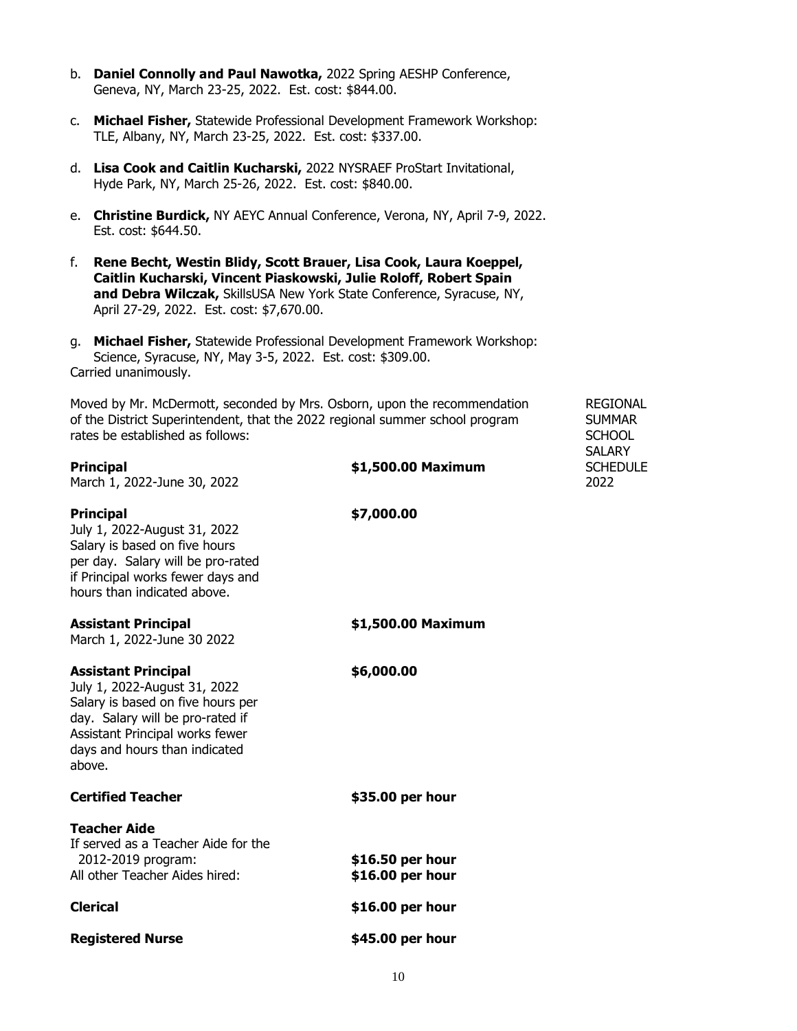- b. **Daniel Connolly and Paul Nawotka,** 2022 Spring AESHP Conference, Geneva, NY, March 23-25, 2022. Est. cost: \$844.00.
- c. **Michael Fisher,** Statewide Professional Development Framework Workshop: TLE, Albany, NY, March 23-25, 2022. Est. cost: \$337.00.
- d. **Lisa Cook and Caitlin Kucharski,** 2022 NYSRAEF ProStart Invitational, Hyde Park, NY, March 25-26, 2022. Est. cost: \$840.00.
- e. **Christine Burdick,** NY AEYC Annual Conference, Verona, NY, April 7-9, 2022. Est. cost: \$644.50.
- f. **Rene Becht, Westin Blidy, Scott Brauer, Lisa Cook, Laura Koeppel, Caitlin Kucharski, Vincent Piaskowski, Julie Roloff, Robert Spain and Debra Wilczak,** SkillsUSA New York State Conference, Syracuse, NY, April 27-29, 2022. Est. cost: \$7,670.00.
- g. **Michael Fisher,** Statewide Professional Development Framework Workshop: Science, Syracuse, NY, May 3-5, 2022. Est. cost: \$309.00. Carried unanimously.

Moved by Mr. McDermott, seconded by Mrs. Osborn, upon the recommendation REGIONAL of the District Superintendent, that the 2022 regional summer school program SUMMAR rates be established as follows: SCHOOL and the state of the state of the state of the state of the state of the state of the state of the state of the state of the state of the state of the state of the state of the state

SALARY

| <b>Principal</b><br>March 1, 2022-June 30, 2022                                                                                                                                                                   | \$1,500.00 Maximum                   | <b>SCHEDULE</b><br>2022 |
|-------------------------------------------------------------------------------------------------------------------------------------------------------------------------------------------------------------------|--------------------------------------|-------------------------|
| <b>Principal</b><br>July 1, 2022-August 31, 2022<br>Salary is based on five hours<br>per day. Salary will be pro-rated<br>if Principal works fewer days and<br>hours than indicated above.                        | \$7,000.00                           |                         |
| <b>Assistant Principal</b><br>March 1, 2022-June 30 2022                                                                                                                                                          | \$1,500.00 Maximum                   |                         |
| <b>Assistant Principal</b><br>July 1, 2022-August 31, 2022<br>Salary is based on five hours per<br>day. Salary will be pro-rated if<br>Assistant Principal works fewer<br>days and hours than indicated<br>above. | \$6,000.00                           |                         |
| <b>Certified Teacher</b>                                                                                                                                                                                          | \$35.00 per hour                     |                         |
| <b>Teacher Aide</b><br>If served as a Teacher Aide for the<br>2012-2019 program:<br>All other Teacher Aides hired:                                                                                                | \$16.50 per hour<br>\$16.00 per hour |                         |
| <b>Clerical</b>                                                                                                                                                                                                   | \$16.00 per hour                     |                         |
| <b>Registered Nurse</b>                                                                                                                                                                                           | \$45.00 per hour                     |                         |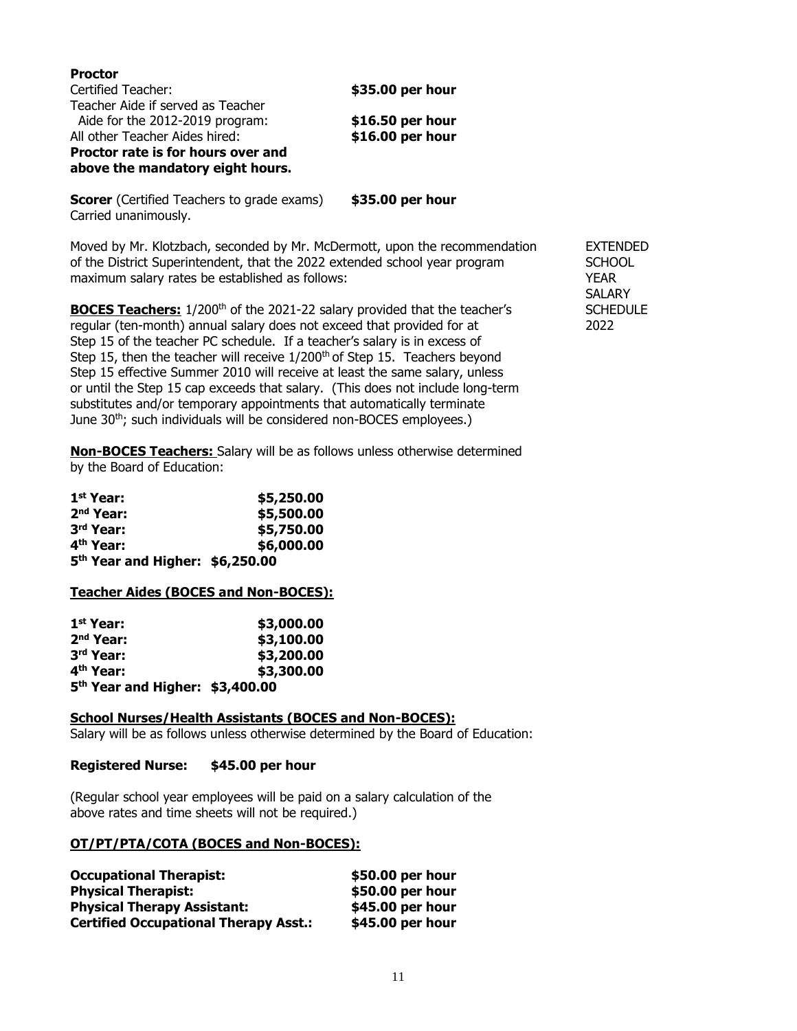| \$35.00 per hour |
|------------------|
|                  |
| \$16.50 per hour |
| \$16.00 per hour |
|                  |
|                  |

**Scorer** (Certified Teachers to grade exams) **\$35.00 per hour** Carried unanimously.

Moved by Mr. Klotzbach, seconded by Mr. McDermott, upon the recommendation EXTENDED of the District Superintendent, that the 2022 extended school year program SCHOOL maximum salary rates be established as follows: The maximum salary rates be established as follows:

**BOCES Teachers:** 1/200<sup>th</sup> of the 2021-22 salary provided that the teacher's SCHEDULE regular (ten-month) annual salary does not exceed that provided for at 2022 Step 15 of the teacher PC schedule. If a teacher's salary is in excess of Step 15, then the teacher will receive 1/200<sup>th</sup> of Step 15. Teachers beyond Step 15 effective Summer 2010 will receive at least the same salary, unless or until the Step 15 cap exceeds that salary. (This does not include long-term substitutes and/or temporary appointments that automatically terminate June 30<sup>th</sup>; such individuals will be considered non-BOCES employees.)

**Non-BOCES Teachers:** Salary will be as follows unless otherwise determined by the Board of Education:

| 1 <sup>st</sup> Year:                       | \$5,250.00 |
|---------------------------------------------|------------|
| $2nd$ Year:                                 | \$5,500.00 |
| 3rd Year:                                   | \$5,750.00 |
| 4 <sup>th</sup> Year:                       | \$6,000.00 |
| 5 <sup>th</sup> Year and Higher: \$6,250.00 |            |

### **Teacher Aides (BOCES and Non-BOCES):**

| 1 <sup>st</sup> Year:                       | \$3,000.00 |
|---------------------------------------------|------------|
| 2 <sup>nd</sup> Year:                       | \$3,100.00 |
| 3rd Year:                                   | \$3,200.00 |
| 4 <sup>th</sup> Year:                       | \$3,300.00 |
| 5 <sup>th</sup> Year and Higher: \$3,400.00 |            |

### **School Nurses/Health Assistants (BOCES and Non-BOCES):**

Salary will be as follows unless otherwise determined by the Board of Education:

### **Registered Nurse: \$45.00 per hour**

(Regular school year employees will be paid on a salary calculation of the above rates and time sheets will not be required.)

### **OT/PT/PTA/COTA (BOCES and Non-BOCES):**

| <b>Occupational Therapist:</b>               | \$50.00 per hour |
|----------------------------------------------|------------------|
| <b>Physical Therapist:</b>                   | \$50.00 per hour |
| <b>Physical Therapy Assistant:</b>           | \$45.00 per hour |
| <b>Certified Occupational Therapy Asst.:</b> | \$45.00 per hour |

**SALARY**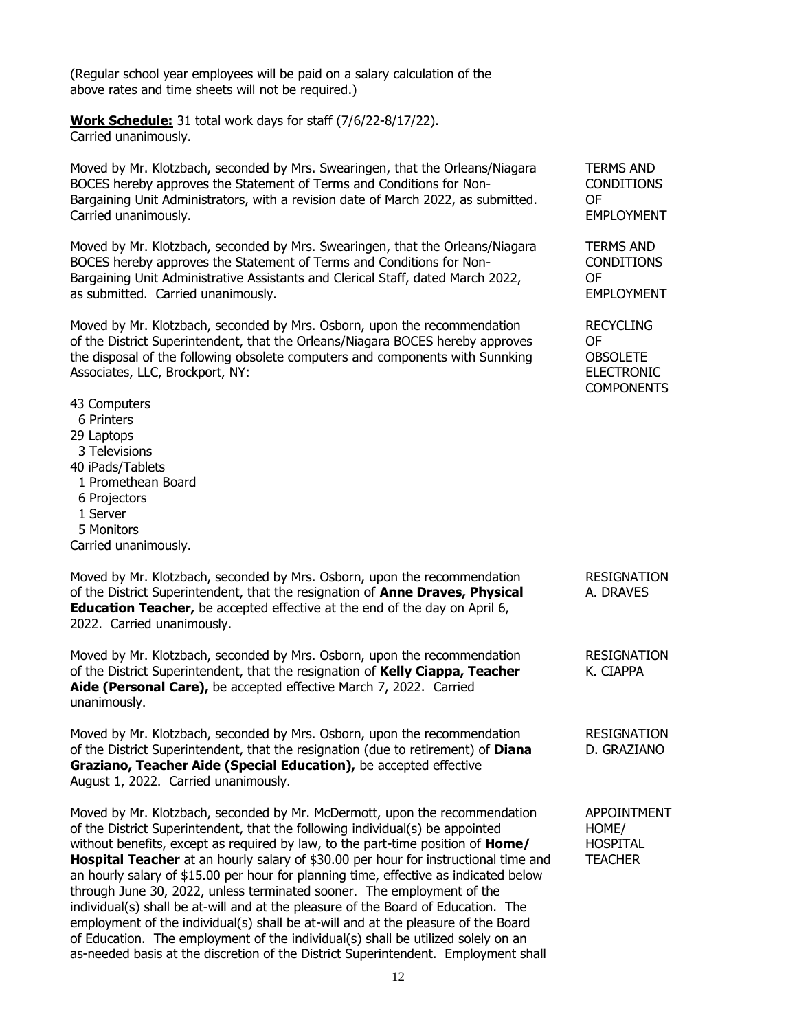(Regular school year employees will be paid on a salary calculation of the above rates and time sheets will not be required.)

**Work Schedule:** 31 total work days for staff (7/6/22-8/17/22). Carried unanimously.

Moved by Mr. Klotzbach, seconded by Mrs. Swearingen, that the Orleans/Niagara TERMS AND BOCES hereby approves the Statement of Terms and Conditions for Non- CONDITIONS Bargaining Unit Administrators, with a revision date of March 2022, as submitted. OF Carried unanimously. **EMPLOYMENT** 

Moved by Mr. Klotzbach, seconded by Mrs. Swearingen, that the Orleans/Niagara TERMS AND BOCES hereby approves the Statement of Terms and Conditions for Non- CONDITIONS Bargaining Unit Administrative Assistants and Clerical Staff, dated March 2022, OF as submitted. Carried unanimously. The submitted of the state of the state of the state of the state of the state of the state of the state of the state of the state of the state of the state of the state of the state of t

Moved by Mr. Klotzbach, seconded by Mrs. Osborn, upon the recommendation RECYCLING of the District Superintendent, that the Orleans/Niagara BOCES hereby approves OF the disposal of the following obsolete computers and components with Sunnking OBSOLETE Associates, LLC, Brockport, NY: ELECTRONIC

- 43 Computers
- 6 Printers
- 29 Laptops
- 3 Televisions
- 40 iPads/Tablets
- 1 Promethean Board
- 6 Projectors
- 1 Server
- 5 Monitors

Carried unanimously.

Moved by Mr. Klotzbach, seconded by Mrs. Osborn, upon the recommendation RESIGNATION of the District Superintendent, that the resignation of **Anne Draves, Physical** A. DRAVES **Education Teacher,** be accepted effective at the end of the day on April 6, 2022. Carried unanimously.

Moved by Mr. Klotzbach, seconded by Mrs. Osborn, upon the recommendation RESIGNATION of the District Superintendent, that the resignation of **Kelly Ciappa, Teacher** K. CIAPPA **Aide (Personal Care),** be accepted effective March 7, 2022. Carried unanimously.

Moved by Mr. Klotzbach, seconded by Mrs. Osborn, upon the recommendation RESIGNATION of the District Superintendent, that the resignation (due to retirement) of **Diana** D. GRAZIANO **Graziano, Teacher Aide (Special Education),** be accepted effective August 1, 2022. Carried unanimously.

Moved by Mr. Klotzbach, seconded by Mr. McDermott, upon the recommendation APPOINTMENT of the District Superintendent, that the following individual(s) be appointed HOME/ without benefits, except as required by law, to the part-time position of **Home/** HOSPITAL **Hospital Teacher** at an hourly salary of \$30.00 per hour for instructional time and TEACHER an hourly salary of \$15.00 per hour for planning time, effective as indicated below through June 30, 2022, unless terminated sooner. The employment of the individual(s) shall be at-will and at the pleasure of the Board of Education. The employment of the individual(s) shall be at-will and at the pleasure of the Board of Education. The employment of the individual(s) shall be utilized solely on an as-needed basis at the discretion of the District Superintendent. Employment shall

COMPONENTS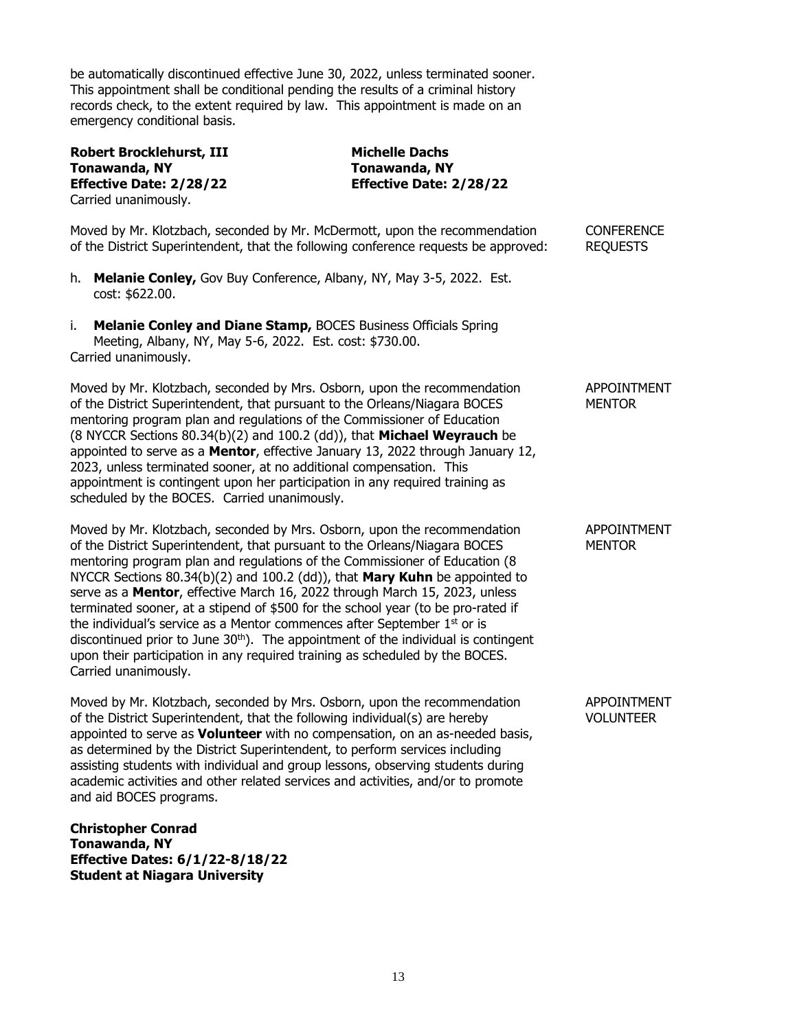be automatically discontinued effective June 30, 2022, unless terminated sooner. This appointment shall be conditional pending the results of a criminal history records check, to the extent required by law. This appointment is made on an emergency conditional basis.

**Robert Brocklehurst, III** Michelle Dachs<br> **Tonawanda, NY** Tonawanda, NY **Tonawanda, NY Tonawanda, NY Effective Date: 2/28/22 Effective Date: 2/28/22** Carried unanimously.

| Moved by Mr. Klotzbach, seconded by Mr. McDermott, upon the recommendation<br>of the District Superintendent, that the following conference requests be approved:                                                                                                                                                                                                                                                                                                                                                                                                                                                                                                                                                                                                          | <b>CONFERENCE</b><br><b>REQUESTS</b>   |
|----------------------------------------------------------------------------------------------------------------------------------------------------------------------------------------------------------------------------------------------------------------------------------------------------------------------------------------------------------------------------------------------------------------------------------------------------------------------------------------------------------------------------------------------------------------------------------------------------------------------------------------------------------------------------------------------------------------------------------------------------------------------------|----------------------------------------|
| h.<br>Melanie Conley, Gov Buy Conference, Albany, NY, May 3-5, 2022. Est.<br>cost: \$622.00.                                                                                                                                                                                                                                                                                                                                                                                                                                                                                                                                                                                                                                                                               |                                        |
| i.<br>Melanie Conley and Diane Stamp, BOCES Business Officials Spring<br>Meeting, Albany, NY, May 5-6, 2022. Est. cost: \$730.00.<br>Carried unanimously.                                                                                                                                                                                                                                                                                                                                                                                                                                                                                                                                                                                                                  |                                        |
| Moved by Mr. Klotzbach, seconded by Mrs. Osborn, upon the recommendation<br>of the District Superintendent, that pursuant to the Orleans/Niagara BOCES<br>mentoring program plan and regulations of the Commissioner of Education<br>(8 NYCCR Sections 80.34(b)(2) and 100.2 (dd)), that Michael Weyrauch be<br>appointed to serve as a Mentor, effective January 13, 2022 through January 12,<br>2023, unless terminated sooner, at no additional compensation. This<br>appointment is contingent upon her participation in any required training as<br>scheduled by the BOCES. Carried unanimously.                                                                                                                                                                      | <b>APPOINTMENT</b><br><b>MENTOR</b>    |
| Moved by Mr. Klotzbach, seconded by Mrs. Osborn, upon the recommendation<br>of the District Superintendent, that pursuant to the Orleans/Niagara BOCES<br>mentoring program plan and regulations of the Commissioner of Education (8<br>NYCCR Sections 80.34(b)(2) and 100.2 (dd)), that Mary Kuhn be appointed to<br>serve as a Mentor, effective March 16, 2022 through March 15, 2023, unless<br>terminated sooner, at a stipend of \$500 for the school year (to be pro-rated if<br>the individual's service as a Mentor commences after September 1st or is<br>discontinued prior to June 30 <sup>th</sup> ). The appointment of the individual is contingent<br>upon their participation in any required training as scheduled by the BOCES.<br>Carried unanimously. | <b>APPOINTMENT</b><br><b>MENTOR</b>    |
| Moved by Mr. Klotzbach, seconded by Mrs. Osborn, upon the recommendation<br>of the District Superintendent, that the following individual(s) are hereby<br>appointed to serve as <b>Volunteer</b> with no compensation, on an as-needed basis,<br>as determined by the District Superintendent, to perform services including<br>assisting students with individual and group lessons, observing students during<br>academic activities and other related services and activities, and/or to promote<br>and aid BOCES programs.                                                                                                                                                                                                                                            | <b>APPOINTMENT</b><br><b>VOLUNTEER</b> |
| <b>Christopher Conrad</b><br>Tonawanda, NY<br><b>Effective Dates: 6/1/22-8/18/22</b><br><b>Student at Niagara University</b>                                                                                                                                                                                                                                                                                                                                                                                                                                                                                                                                                                                                                                               |                                        |
|                                                                                                                                                                                                                                                                                                                                                                                                                                                                                                                                                                                                                                                                                                                                                                            |                                        |
| 13                                                                                                                                                                                                                                                                                                                                                                                                                                                                                                                                                                                                                                                                                                                                                                         |                                        |